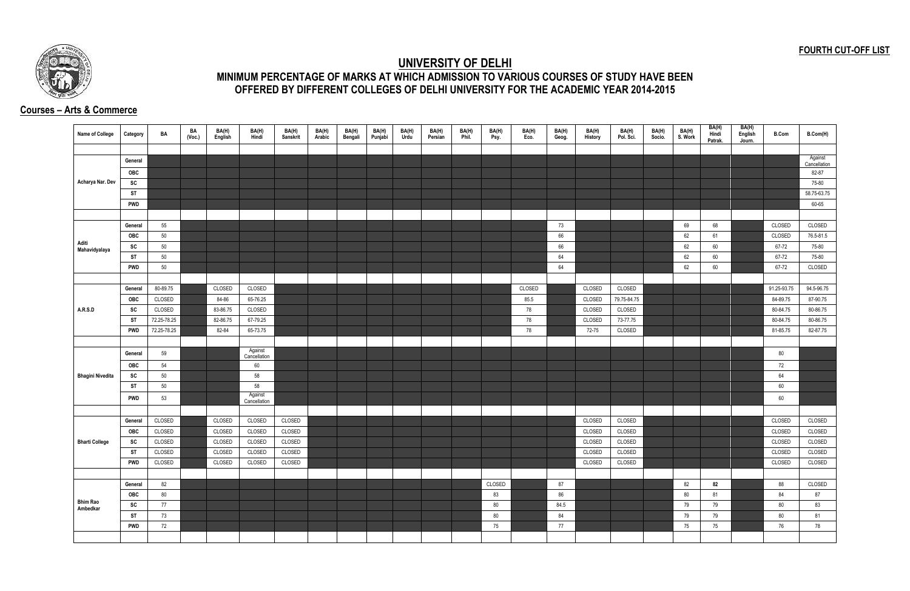## **FOURTH CUT-OFF LIST**



## **UNIVERSITY OF DELHI MINIMUM PERCENTAGE OF MARKS AT WHICH ADMISSION TO VARIOUS COURSES OF STUDY HAVE BEEN OFFERED BY DIFFERENT COLLEGES OF DELHI UNIVERSITY FOR THE ACADEMIC YEAR 2014-2015**

## **Courses – Arts & Commerce**

| <b>Name of College</b>      | Category   | BA          | BA<br>(Voc.) | BA(H)<br>English | BA(H)<br>Hindi          | BA(H)<br>Sanskrit | BA(H)<br>Arabic | BA(H)<br>Bengali | BA(H)<br>Punjabi | BA(H)<br>Urdu | BA(H)<br>Persian | BA(H)<br>Phil. | BA(H)<br>Psy. | BA(H)<br>Eco. | BA(H)<br>Geog. | BA(H)<br>History | BA(H)<br>Pol. Sci. | BA(H)<br>Socio. | BA(H)<br>S. Work | BA(H)<br>Hindi<br>Patrak. | BA(H)<br>English<br>Journ. | <b>B.Com</b> | B.Com(H)                |
|-----------------------------|------------|-------------|--------------|------------------|-------------------------|-------------------|-----------------|------------------|------------------|---------------|------------------|----------------|---------------|---------------|----------------|------------------|--------------------|-----------------|------------------|---------------------------|----------------------------|--------------|-------------------------|
|                             |            |             |              |                  |                         |                   |                 |                  |                  |               |                  |                |               |               |                |                  |                    |                 |                  |                           |                            |              |                         |
|                             | General    |             |              |                  |                         |                   |                 |                  |                  |               |                  |                |               |               |                |                  |                    |                 |                  |                           |                            |              | Against<br>Cancellation |
|                             | <b>OBC</b> |             |              |                  |                         |                   |                 |                  |                  |               |                  |                |               |               |                |                  |                    |                 |                  |                           |                            |              | 82-87                   |
| Acharya Nar. Dev            | SC         |             |              |                  |                         |                   |                 |                  |                  |               |                  |                |               |               |                |                  |                    |                 |                  |                           |                            |              | 75-80                   |
|                             | <b>ST</b>  |             |              |                  |                         |                   |                 |                  |                  |               |                  |                |               |               |                |                  |                    |                 |                  |                           |                            |              | 58.75-63.75             |
|                             | <b>PWD</b> |             |              |                  |                         |                   |                 |                  |                  |               |                  |                |               |               |                |                  |                    |                 |                  |                           |                            |              | 60-65                   |
|                             |            |             |              |                  |                         |                   |                 |                  |                  |               |                  |                |               |               |                |                  |                    |                 |                  |                           |                            |              |                         |
|                             | General    | 55          |              |                  |                         |                   |                 |                  |                  |               |                  |                |               |               | 73             |                  |                    |                 | 69               | 68                        |                            | CLOSED       | CLOSED                  |
|                             | OBC        | 50          |              |                  |                         |                   |                 |                  |                  |               |                  |                |               |               | 66             |                  |                    |                 | 62               | 61                        |                            | CLOSED       | 76.5-81.5               |
| Aditi<br>Mahavidyalaya      | SC         | 50          |              |                  |                         |                   |                 |                  |                  |               |                  |                |               |               | 66             |                  |                    |                 | 62               | 60                        |                            | 67-72        | 75-80                   |
|                             | <b>ST</b>  | 50          |              |                  |                         |                   |                 |                  |                  |               |                  |                |               |               | 64             |                  |                    |                 | 62               | 60                        |                            | 67-72        | 75-80                   |
|                             | <b>PWD</b> | 50          |              |                  |                         |                   |                 |                  |                  |               |                  |                |               |               | 64             |                  |                    |                 | 62               | 60                        |                            | 67-72        | CLOSED                  |
|                             |            |             |              |                  |                         |                   |                 |                  |                  |               |                  |                |               |               |                |                  |                    |                 |                  |                           |                            |              |                         |
|                             | General    | 80-89.75    |              | CLOSED           | CLOSED                  |                   |                 |                  |                  |               |                  |                |               | CLOSED        |                | CLOSED           | CLOSED             |                 |                  |                           |                            | 91.25-93.75  | 94.5-96.75              |
|                             | OBC        | CLOSED      |              | 84-86            | 65-76.25                |                   |                 |                  |                  |               |                  |                |               | 85.5          |                | CLOSED           | 79.75-84.75        |                 |                  |                           |                            | 84-89.75     | 87-90.75                |
| A.R.S.D                     | SC         | CLOSED      |              | 83-86.75         | CLOSED                  |                   |                 |                  |                  |               |                  |                |               | 78            |                | CLOSED           | CLOSED             |                 |                  |                           |                            | 80-84.75     | 80-86.75                |
|                             | <b>ST</b>  | 72.25-78.25 |              | 82-86.75         | 67-79.25                |                   |                 |                  |                  |               |                  |                |               | 78            |                | CLOSED           | 73-77.75           |                 |                  |                           |                            | 80-84.75     | 80-86.75                |
|                             | <b>PWD</b> | 72.25-78.25 |              | 82-84            | 65-73.75                |                   |                 |                  |                  |               |                  |                |               | 78            |                | 72-75            | CLOSED             |                 |                  |                           |                            | 81-85.75     | 82-87.75                |
|                             |            |             |              |                  |                         |                   |                 |                  |                  |               |                  |                |               |               |                |                  |                    |                 |                  |                           |                            |              |                         |
|                             | General    | 59          |              |                  | Against<br>Cancellation |                   |                 |                  |                  |               |                  |                |               |               |                |                  |                    |                 |                  |                           |                            | 80           |                         |
|                             | OBC        | 54          |              |                  | 60                      |                   |                 |                  |                  |               |                  |                |               |               |                |                  |                    |                 |                  |                           |                            | 72           |                         |
| <b>Bhagini Nivedita</b>     | SC         | 50          |              |                  | 58                      |                   |                 |                  |                  |               |                  |                |               |               |                |                  |                    |                 |                  |                           |                            | 64           |                         |
|                             | ST         | 50          |              |                  | 58                      |                   |                 |                  |                  |               |                  |                |               |               |                |                  |                    |                 |                  |                           |                            | 60           |                         |
|                             | <b>PWD</b> | 53          |              |                  | Against<br>Cancellation |                   |                 |                  |                  |               |                  |                |               |               |                |                  |                    |                 |                  |                           |                            | 60           |                         |
|                             |            |             |              |                  |                         |                   |                 |                  |                  |               |                  |                |               |               |                |                  |                    |                 |                  |                           |                            |              |                         |
|                             | General    | CLOSED      |              | CLOSED           | CLOSED                  | CLOSED            |                 |                  |                  |               |                  |                |               |               |                | CLOSED           | CLOSED             |                 |                  |                           |                            | CLOSED       | CLOSED                  |
|                             | <b>OBC</b> | CLOSED      |              | CLOSED           | CLOSED                  | CLOSED            |                 |                  |                  |               |                  |                |               |               |                | CLOSED           | CLOSED             |                 |                  |                           |                            | CLOSED       | CLOSED                  |
| <b>Bharti College</b>       | SC         | CLOSED      |              | CLOSED           | CLOSED                  | CLOSED            |                 |                  |                  |               |                  |                |               |               |                | CLOSED           | CLOSED             |                 |                  |                           |                            | CLOSED       | CLOSED                  |
|                             | <b>ST</b>  | CLOSED      |              | CLOSED           | CLOSED                  | CLOSED            |                 |                  |                  |               |                  |                |               |               |                | CLOSED           | CLOSED             |                 |                  |                           |                            | CLOSED       | CLOSED                  |
|                             | <b>PWD</b> | CLOSED      |              | CLOSED           | CLOSED                  | CLOSED            |                 |                  |                  |               |                  |                |               |               |                | CLOSED           | CLOSED             |                 |                  |                           |                            | CLOSED       | CLOSED                  |
|                             |            |             |              |                  |                         |                   |                 |                  |                  |               |                  |                |               |               |                |                  |                    |                 |                  |                           |                            |              |                         |
|                             | General    | 82          |              |                  |                         |                   |                 |                  |                  |               |                  |                | CLOSED        |               | 87             |                  |                    |                 | 82               | 82                        |                            | 88           | CLOSED                  |
|                             | <b>OBC</b> | 80          |              |                  |                         |                   |                 |                  |                  |               |                  |                | 83            |               | 86             |                  |                    |                 | 80               | 81                        |                            | 84           | 87                      |
| <b>Bhim Rao</b><br>Ambedkar | SC         | 77          |              |                  |                         |                   |                 |                  |                  |               |                  |                | 80            |               | 84.5           |                  |                    |                 | 79               | 79                        |                            | 80           | 83                      |
|                             | <b>ST</b>  | 73          |              |                  |                         |                   |                 |                  |                  |               |                  |                | 80            |               | 84             |                  |                    |                 | 79               | 79                        |                            | 80           | 81                      |
|                             | <b>PWD</b> | 72          |              |                  |                         |                   |                 |                  |                  |               |                  |                | 75            |               | 77             |                  |                    |                 | 75               | 75                        |                            | 76           | 78                      |
|                             |            |             |              |                  |                         |                   |                 |                  |                  |               |                  |                |               |               |                |                  |                    |                 |                  |                           |                            |              |                         |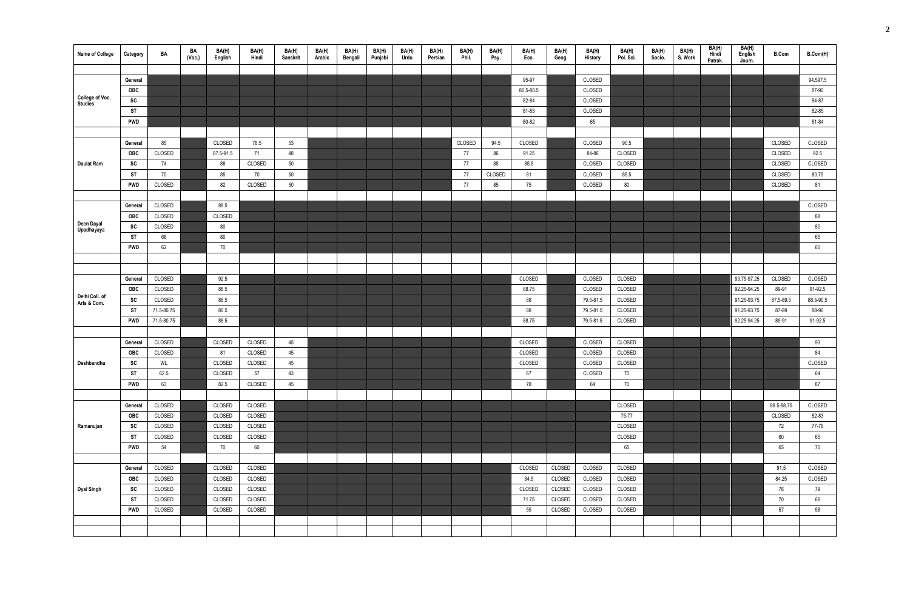| <b>Name of College</b> | Category   | BA               | BA<br>(Vec.) | BA(H)<br>English | BA(H)<br>Hindi | BA(H)<br><b>Sanskrit</b> | BA(H)<br>Arabic | BA(H)<br>Bengali | BA(H)<br>Punjabi | BA(H)<br>Urdu | BA(H)<br>Persian | BA(H)<br>Phil. | BA(H)<br>Psy. | BA(H)<br>Eco. | BA(H)<br>Geog. | BA(H)<br>History       | BA(H)<br>Pol. Sci. | BA(H)<br>Socio. | BA(H)<br>S. Work | BA(H)<br>Hindi<br>Patrak. | BA(H)<br>English<br>Journ. | <b>B.Com</b>       | B.Com(H)             |
|------------------------|------------|------------------|--------------|------------------|----------------|--------------------------|-----------------|------------------|------------------|---------------|------------------|----------------|---------------|---------------|----------------|------------------------|--------------------|-----------------|------------------|---------------------------|----------------------------|--------------------|----------------------|
|                        |            |                  |              |                  |                |                          |                 |                  |                  |               |                  |                |               |               |                |                        |                    |                 |                  |                           |                            |                    |                      |
|                        | General    |                  |              |                  |                |                          |                 |                  |                  |               |                  |                |               | 95-97         |                | CLOSED                 |                    |                 |                  |                           |                            |                    | 94.597.5             |
| College of Voc.        | OBC        |                  |              |                  |                |                          |                 |                  |                  |               |                  |                |               | 86.5-88.5     |                | CLOSED                 |                    |                 |                  |                           |                            |                    | 87-90                |
| <b>Studies</b>         | SC         |                  |              |                  |                |                          |                 |                  |                  |               |                  |                |               | 82-84         |                | CLOSED                 |                    |                 |                  |                           |                            |                    | 84-87                |
|                        | ST         |                  |              |                  |                |                          |                 |                  |                  |               |                  |                |               | 81-83         |                | CLOSED                 |                    |                 |                  |                           |                            |                    | 82-85                |
|                        | <b>PWD</b> |                  |              |                  |                |                          |                 |                  |                  |               |                  |                |               | 80-82         |                | 65                     |                    |                 |                  |                           |                            |                    | 81-84                |
|                        |            |                  |              |                  |                |                          |                 |                  |                  |               |                  |                |               |               |                |                        |                    |                 |                  |                           |                            |                    |                      |
|                        | General    | 85               |              | CLOSED           | 78.5           | 53                       |                 |                  |                  |               |                  | CLOSED         | 94.5          | CLOSED        |                | CLOSED                 | 90.5               |                 |                  |                           |                            | CLOSED             | CLOSED               |
|                        | OBC        | CLOSED           |              | 87.5-91.5        | 71             | 48                       |                 |                  |                  |               |                  | 77             | 86            | 91.25         |                | 84-86                  | CLOSED             |                 |                  |                           |                            | CLOSED             | 92.5                 |
| <b>Daulat Ram</b>      | SC         | 74               |              | 88               | CLOSED         | 50                       |                 |                  |                  |               |                  | 77             | 85            | 85.5          |                | CLOSED                 | CLOSED             |                 |                  |                           |                            | CLOSED             | CLOSED               |
|                        | ST         | 70               |              | 85               | 70             | 50                       |                 |                  |                  |               |                  | 77             | CLOSED        | 81            |                | CLOSED                 | 85.5               |                 |                  |                           |                            | CLOSED             | 80.75                |
|                        | <b>PWD</b> | CLOSED           |              | 82               | CLOSED         | 50                       |                 |                  |                  |               |                  | 77             | 85            | 75            |                | CLOSED                 | 80                 |                 |                  |                           |                            | CLOSED             | 81                   |
|                        |            |                  |              |                  |                |                          |                 |                  |                  |               |                  |                |               |               |                |                        |                    |                 |                  |                           |                            |                    |                      |
|                        | General    | CLOSED           |              | 88.5             |                |                          |                 |                  |                  |               |                  |                |               |               |                |                        |                    |                 |                  |                           |                            |                    | CLOSED               |
| Deen Dayal             | OBC        | CLOSED           |              | CLOSED           |                |                          |                 |                  |                  |               |                  |                |               |               |                |                        |                    |                 |                  |                           |                            |                    | 88                   |
| Upadhayaya             | SC         | CLOSED           |              | 80               |                |                          |                 |                  |                  |               |                  |                |               |               |                |                        |                    |                 |                  |                           |                            |                    | 80                   |
|                        | ST         | 68               |              | 80               |                |                          |                 |                  |                  |               |                  |                |               |               |                |                        |                    |                 |                  |                           |                            |                    | 65                   |
|                        | <b>PWD</b> | 62               |              | 70               |                |                          |                 |                  |                  |               |                  |                |               |               |                |                        |                    |                 |                  |                           |                            |                    | 60                   |
|                        |            |                  |              |                  |                |                          |                 |                  |                  |               |                  |                |               |               |                |                        |                    |                 |                  |                           |                            |                    |                      |
|                        |            |                  |              |                  |                |                          |                 |                  |                  |               |                  |                |               |               |                |                        |                    |                 |                  |                           |                            |                    |                      |
|                        | General    | CLOSED           |              | 92.5             |                |                          |                 |                  |                  |               |                  |                |               | CLOSED        |                | CLOSED                 | CLOSED             |                 |                  |                           | 93.75-97.25                | CLOSED             | CLOSED               |
| Delhi Coll. of         | OBC        | CLOSED<br>CLOSED |              | 88.5<br>86.5     |                |                          |                 |                  |                  |               |                  |                |               | 88.75         |                | CLOSED<br>79.5-81.5    | CLOSED<br>CLOSED   |                 |                  |                           | 92.25-94.25<br>91.25-93.75 | 89-91<br>87.5-89.5 | 91-92.5<br>88.5-90.5 |
| Arts & Com.            | SC<br>ST   | 71.5-80.75       |              | 86.5             |                |                          |                 |                  |                  |               |                  |                |               | 88            |                |                        | CLOSED             |                 |                  |                           | 91.25-93.75                | 87-89              | 88-90                |
|                        | <b>PWD</b> | 71.5-80.75       |              | 88.5             |                |                          |                 |                  |                  |               |                  |                |               | 88<br>88.75   |                | 79.5-81.5<br>79.5-81.5 | CLOSED             |                 |                  |                           | 92.25-94.25                | 89-91              | 91-92.5              |
|                        |            |                  |              |                  |                |                          |                 |                  |                  |               |                  |                |               |               |                |                        |                    |                 |                  |                           |                            |                    |                      |
|                        | General    | CLOSED           |              | CLOSED           | CLOSED         | 45                       |                 |                  |                  |               |                  |                |               | CLOSED        |                | CLOSED                 | CLOSED             |                 |                  |                           |                            |                    | 93                   |
|                        | <b>OBC</b> | CLOSED           |              | 81               | CLOSED         | 45                       |                 |                  |                  |               |                  |                |               | CLOSED        |                | CLOSED                 | CLOSED             |                 |                  |                           |                            |                    | 84                   |
| Deshbandhu             | SC         | WL               |              | CLOSED           | CLOSED         | 45                       |                 |                  |                  |               |                  |                |               | CLOSED        |                | CLOSED                 | CLOSED             |                 |                  |                           |                            |                    | CLOSED               |
|                        | ST         | 62.5             |              | CLOSED           | 57             | 43                       |                 |                  |                  |               |                  |                |               | 67            |                | CLOSED                 | 70                 |                 |                  |                           |                            |                    | 64                   |
|                        | <b>PWD</b> | 63               |              | 82.5             | CLOSED         | 45                       |                 |                  |                  |               |                  |                |               | 78            |                | 64                     | 70                 |                 |                  |                           |                            |                    | 87                   |
|                        |            |                  |              |                  |                |                          |                 |                  |                  |               |                  |                |               |               |                |                        |                    |                 |                  |                           |                            |                    |                      |
|                        | General    | CLOSED           |              | CLOSED           | CLOSED         |                          |                 |                  |                  |               |                  |                |               |               |                |                        | CLOSED             |                 |                  |                           |                            | 88.5-88.75         | CLOSED               |
|                        | <b>OBC</b> | CLOSED           |              | CLOSED           | CLOSED         |                          |                 |                  |                  |               |                  |                |               |               |                |                        | 75-77              |                 |                  |                           |                            | CLOSED             | 82-83                |
| Ramanujan              | SC         | CLOSED           |              | CLOSED           | CLOSED         |                          |                 |                  |                  |               |                  |                |               |               |                |                        | CLOSED             |                 |                  |                           |                            | 72                 | 77-78                |
|                        | <b>ST</b>  | CLOSED           |              | CLOSED           | CLOSED         |                          |                 |                  |                  |               |                  |                |               |               |                |                        | CLOSED             |                 |                  |                           |                            | 60                 | 65                   |
|                        | <b>PWD</b> | 54               |              | 70               | 60             |                          |                 |                  |                  |               |                  |                |               |               |                |                        | 65                 |                 |                  |                           |                            | 65                 | 70                   |
|                        |            |                  |              |                  |                |                          |                 |                  |                  |               |                  |                |               |               |                |                        |                    |                 |                  |                           |                            |                    |                      |
|                        | General    | CLOSED           |              | CLOSED           | CLOSED         |                          |                 |                  |                  |               |                  |                |               | CLOSED        | CLOSED         | CLOSED                 | CLOSED             |                 |                  |                           |                            | 91.5               | CLOSED               |
|                        | <b>OBC</b> | CLOSED           |              | CLOSED           | CLOSED         |                          |                 |                  |                  |               |                  |                |               | 84.5          | CLOSED         | CLOSED                 | CLOSED             |                 |                  |                           |                            | 84.25              | CLOSED               |
| <b>Dyal Singh</b>      | SC         | CLOSED           |              | CLOSED           | CLOSED         |                          |                 |                  |                  |               |                  |                |               | CLOSED        | CLOSED         | CLOSED                 | CLOSED             |                 |                  |                           |                            | 76                 | 79                   |
|                        | ST         | CLOSED           |              | CLOSED           | CLOSED         |                          |                 |                  |                  |               |                  |                |               | 71.75         | CLOSED         | CLOSED                 | CLOSED             |                 |                  |                           |                            | 70                 | 66                   |
|                        | <b>PWD</b> | CLOSED           |              | CLOSED           | CLOSED         |                          |                 |                  |                  |               |                  |                |               | 55            | CLOSED         | CLOSED                 | CLOSED             |                 |                  |                           |                            | 57                 | 58                   |
|                        |            |                  |              |                  |                |                          |                 |                  |                  |               |                  |                |               |               |                |                        |                    |                 |                  |                           |                            |                    |                      |
|                        |            |                  |              |                  |                |                          |                 |                  |                  |               |                  |                |               |               |                |                        |                    |                 |                  |                           |                            |                    |                      |
|                        |            |                  |              |                  |                |                          |                 |                  |                  |               |                  |                |               |               |                |                        |                    |                 |                  |                           |                            |                    |                      |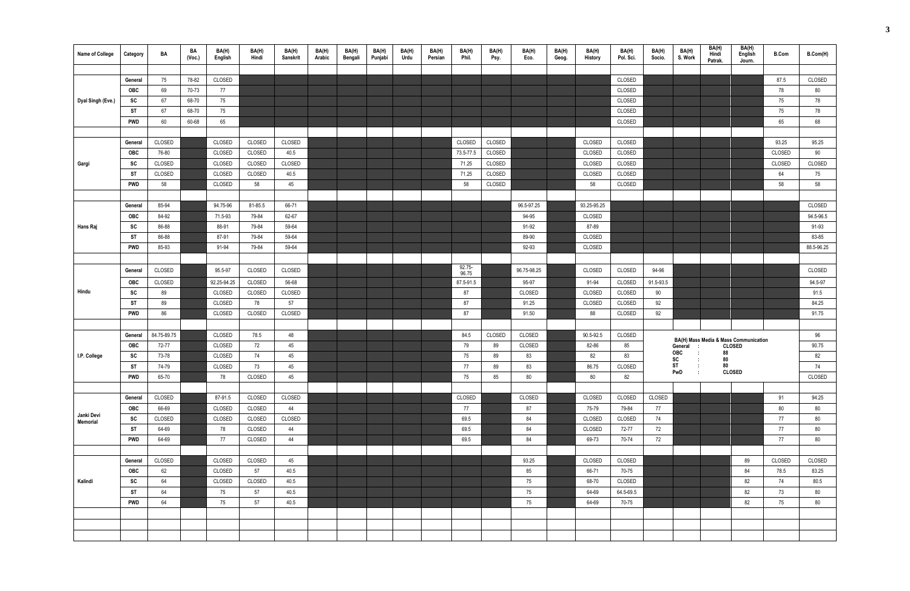| <b>Name of College</b> | Category   | BA          | BA<br>(Vec.) | BA(H)<br>English | BA(H)<br>Hindi | BA(H)<br>Sanskrit | BA(H)<br>Arabic | BA(H)<br>Bengali | BA(H)<br>Punjabi | BA(H)<br>Urdu | BA(H)<br>Persian | BA(H)<br>Phil.     | BA(H)<br>Psy. | BA(H)<br>Eco. | BA(H)<br>Geog. | BA(H)<br>History | BA(H)<br>Pol. Sci. | BA(H)<br>Socio. | BA(H)<br>S. Work           | BA(H)<br>Hindi<br>Patrak. | BA(H)<br>English<br>Journ.                             | <b>B.Com</b> | B.Com(H)   |
|------------------------|------------|-------------|--------------|------------------|----------------|-------------------|-----------------|------------------|------------------|---------------|------------------|--------------------|---------------|---------------|----------------|------------------|--------------------|-----------------|----------------------------|---------------------------|--------------------------------------------------------|--------------|------------|
|                        |            |             |              |                  |                |                   |                 |                  |                  |               |                  |                    |               |               |                |                  |                    |                 |                            |                           |                                                        |              |            |
|                        | General    | 75          | 78-82        | CLOSED           |                |                   |                 |                  |                  |               |                  |                    |               |               |                |                  | CLOSED             |                 |                            |                           |                                                        | 87.5         | CLOSED     |
|                        | <b>OBC</b> | 69          | 70-73        | 77               |                |                   |                 |                  |                  |               |                  |                    |               |               |                |                  | CLOSED             |                 |                            |                           |                                                        | 78           | 80         |
| Dyal Singh (Eve.)      | SC         | 67          | 68-70        | 75               |                |                   |                 |                  |                  |               |                  |                    |               |               |                |                  | CLOSED             |                 |                            |                           |                                                        | 75           | 78         |
|                        | ST         | 67          | 68-70        | 75               |                |                   |                 |                  |                  |               |                  |                    |               |               |                |                  | CLOSED             |                 |                            |                           |                                                        | 75           | 78         |
|                        | <b>PWD</b> | 60          | 60-68        | 65               |                |                   |                 |                  |                  |               |                  |                    |               |               |                |                  | CLOSED             |                 |                            |                           |                                                        | 65           | 68         |
|                        |            |             |              |                  |                |                   |                 |                  |                  |               |                  |                    |               |               |                |                  |                    |                 |                            |                           |                                                        |              |            |
|                        | General    | CLOSED      |              | CLOSED           | CLOSED         | CLOSED            |                 |                  |                  |               |                  | CLOSED             | CLOSED        |               |                | CLOSED           | CLOSED             |                 |                            |                           |                                                        | 93.25        | 95.25      |
|                        | <b>OBC</b> | 76-80       |              | CLOSED           | CLOSED         | 40.5              |                 |                  |                  |               |                  | 73.5-77.5          | CLOSED        |               |                | CLOSED           | CLOSED             |                 |                            |                           |                                                        | CLOSED       | 90         |
| Gargi                  | SC         | CLOSED      |              | CLOSED           | CLOSED         | CLOSED            |                 |                  |                  |               |                  | 71.25              | CLOSED        |               |                | CLOSED           | CLOSED             |                 |                            |                           |                                                        | CLOSED       | CLOSED     |
|                        | ST         | CLOSED      |              | CLOSED           | CLOSED         | 40.5              |                 |                  |                  |               |                  | 71.25              | CLOSED        |               |                | CLOSED           | CLOSED             |                 |                            |                           |                                                        | 64           | 75         |
|                        | <b>PWD</b> | 58          |              | CLOSED           | 58             | 45                |                 |                  |                  |               |                  | 58                 | CLOSED        |               |                | 58               | CLOSED             |                 |                            |                           |                                                        | 58           | 58         |
|                        |            |             |              |                  |                |                   |                 |                  |                  |               |                  |                    |               |               |                |                  |                    |                 |                            |                           |                                                        |              |            |
|                        | General    | 85-94       |              | 94.75-96         | 81-85.5        | 66-71             |                 |                  |                  |               |                  |                    |               | 96.5-97.25    |                | 93.25-95.25      |                    |                 |                            |                           |                                                        |              | CLOSED     |
|                        | OBC        | 84-92       |              | 71.5-93          | 79-84          | 62-67             |                 |                  |                  |               |                  |                    |               | 94-95         |                | CLOSED           |                    |                 |                            |                           |                                                        |              | 94.5-96.5  |
| Hans Raj               | SC         | 86-88       |              | 88-91            | 79-84          | 59-64             |                 |                  |                  |               |                  |                    |               | 91-92         |                | 87-89            |                    |                 |                            |                           |                                                        |              | 91-93      |
|                        | <b>ST</b>  | 86-88       |              | 87-91            | 79-84          | 59-64             |                 |                  |                  |               |                  |                    |               | 89-90         |                | CLOSED           |                    |                 |                            |                           |                                                        |              | 83-85      |
|                        | <b>PWD</b> | 85-93       |              | 91-94            | 79-84          | 59-64             |                 |                  |                  |               |                  |                    |               | 92-93         |                | CLOSED           |                    |                 |                            |                           |                                                        |              | 88.5-96.25 |
|                        |            |             |              |                  |                |                   |                 |                  |                  |               |                  |                    |               |               |                |                  |                    |                 |                            |                           |                                                        |              |            |
|                        | General    | CLOSED      |              | 95.5-97          | CLOSED         | CLOSED            |                 |                  |                  |               |                  | $92.75 -$<br>96.75 |               | 96.75-98.25   |                | CLOSED           | CLOSED             | 94-96           |                            |                           |                                                        |              | CLOSED     |
|                        | <b>OBC</b> | CLOSED      |              | 92.25-94.25      | CLOSED         | 56-68             |                 |                  |                  |               |                  | 87.5-91.5          |               | 95-97         |                | 91-94            | CLOSED             | 91.5-93.5       |                            |                           |                                                        |              | 94.5-97    |
| Hindu                  | SC         | 89          |              | CLOSED           | CLOSED         | CLOSED            |                 |                  |                  |               |                  | 87                 |               | CLOSED        |                | CLOSED           | CLOSED             | 90              |                            |                           |                                                        |              | 91.5       |
|                        | ST         | 89          |              | CLOSED           | 78             | 57                |                 |                  |                  |               |                  | 87                 |               | 91.25         |                | CLOSED           | CLOSED             | 92              |                            |                           |                                                        |              | 84.25      |
|                        | <b>PWD</b> | 86          |              | CLOSED           | CLOSED         | CLOSED            |                 |                  |                  |               |                  | 87                 |               | 91.50         |                | 88               | CLOSED             | 92              |                            |                           |                                                        |              | 91.75      |
|                        |            |             |              |                  |                |                   |                 |                  |                  |               |                  |                    |               |               |                |                  |                    |                 |                            |                           |                                                        |              |            |
|                        | General    | 84.75-89.75 |              | CLOSED           | 78.5           | 48                |                 |                  |                  |               |                  | 84.5               | CLOSED        | CLOSED        |                | 90.5-92.5        | CLOSED             |                 |                            |                           |                                                        |              | 96         |
|                        | <b>OBC</b> | 72-77       |              | CLOSED           | 72             | 45                |                 |                  |                  |               |                  | 79                 | 89            | CLOSED        |                | 82-86            | 85                 |                 | General<br>$\mathbf{L}$    |                           | BA(H) Mass Media & Mass Communication<br><b>CLOSED</b> |              | 90.75      |
| I.P. College           | SC         | 73-78       |              | CLOSED           | 74             | 45                |                 |                  |                  |               |                  | 75                 | 89            | 83            |                | 82               | 83                 |                 | <b>OBC</b><br>$\mathbf{r}$ | 88                        |                                                        |              | 82         |
|                        | ST         | 74-79       |              | CLOSED           | 73             | 45                |                 |                  |                  |               |                  | 77                 | 89            | 83            |                | 86.75            | CLOSED             |                 | sc<br><b>ST</b>            | 80<br>80                  |                                                        |              | 74         |
|                        | <b>PWD</b> | 65-70       |              | 78               | CLOSED         | 45                |                 |                  |                  |               |                  | 75                 | 85            | 80            |                | 80               | 82                 |                 | PwD                        |                           | <b>CLOSED</b>                                          |              | CLOSED     |
|                        |            |             |              |                  |                |                   |                 |                  |                  |               |                  |                    |               |               |                |                  |                    |                 |                            |                           |                                                        |              |            |
|                        | General    | CLOSED      |              | 87-91.5          | CLOSED         | CLOSED            |                 |                  |                  |               |                  | CLOSED             |               | CLOSED        |                | CLOSED           | CLOSED             | CLOSED          |                            |                           |                                                        | 91           | 94.25      |
|                        | OBC        | 66-69       |              | CLOSED           | CLOSED         | 44                |                 |                  |                  |               |                  | 77                 |               | 87            |                | 75-79            | 79-84              | 77              |                            |                           |                                                        | 80           | 80         |
| Janki Devi<br>Memorial | SC         | CLOSED      |              | CLOSED           | CLOSED         | CLOSED            |                 |                  |                  |               |                  | 69.5               |               | 84            |                | CLOSED           | CLOSED             | 74              |                            |                           |                                                        | 77           | 80         |
|                        | <b>ST</b>  | 64-69       |              | 78               | CLOSED         | 44                |                 |                  |                  |               |                  | 69.5               |               | 84            |                | CLOSED           | 72-77              | 72              |                            |                           |                                                        | 77           | 80         |
|                        | <b>PWD</b> | 64-69       |              | 77               | CLOSED         | 44                |                 |                  |                  |               |                  | 69.5               |               | 84            |                | 69-73            | 70-74              | 72              |                            |                           |                                                        | 77           | 80         |
|                        |            |             |              |                  |                |                   |                 |                  |                  |               |                  |                    |               |               |                |                  |                    |                 |                            |                           |                                                        |              |            |
|                        | General    | CLOSED      |              | CLOSED           | CLOSED         | 45                |                 |                  |                  |               |                  |                    |               | 93.25         |                | CLOSED           | CLOSED             |                 |                            |                           | 89                                                     | CLOSED       | CLOSED     |
|                        | <b>OBC</b> | 62          |              | CLOSED           | 57             | 40.5              |                 |                  |                  |               |                  |                    |               | 85            |                | 66-71            | 70-75              |                 |                            |                           | 84                                                     | 78.5         | 83.25      |
| Kalindi                | SC         | 64          |              | CLOSED           | CLOSED         | 40.5              |                 |                  |                  |               |                  |                    |               | 75            |                | 68-70            | CLOSED             |                 |                            |                           | 82                                                     | 74           | 80.5       |
|                        | <b>ST</b>  | 64          |              | 75               | 57             | 40.5              |                 |                  |                  |               |                  |                    |               | 75            |                | 64-69            | 64.5-69.5          |                 |                            |                           | 82                                                     | 73           | 80         |
|                        | <b>PWD</b> | 64          |              | 75               | 57             | 40.5              |                 |                  |                  |               |                  |                    |               | 75            |                | 64-69            | 70-75              |                 |                            |                           | 82                                                     | 75           | 80         |
|                        |            |             |              |                  |                |                   |                 |                  |                  |               |                  |                    |               |               |                |                  |                    |                 |                            |                           |                                                        |              |            |
|                        |            |             |              |                  |                |                   |                 |                  |                  |               |                  |                    |               |               |                |                  |                    |                 |                            |                           |                                                        |              |            |
|                        |            |             |              |                  |                |                   |                 |                  |                  |               |                  |                    |               |               |                |                  |                    |                 |                            |                           |                                                        |              |            |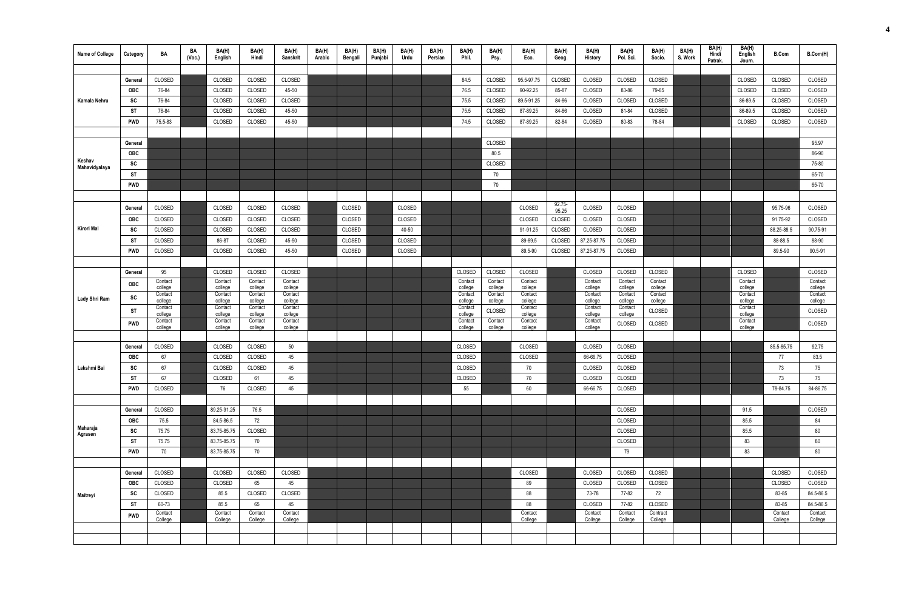| <b>Name of College</b>  | Category   | BA                 | BA<br>(Vec.) | BA(H)<br>English   | BA(H)<br>Hindi     | BA(H)<br><b>Sanskrit</b> | BA(H)<br>Arabic | BA(H)<br>Bengali | BA(H)<br>Punjabi | BA(H)<br>Urdu | BA(H)<br>Persian | BA(H)<br>Phil.     | BA(H)<br>Psy.      | BA(H)<br>Eco.      | BA(H)<br>Geog.  | BA(H)<br>History   | BA(H)<br>Pol. Sci. | BA(H)<br>Socio.     | BA(H)<br>S. Work | BA(H)<br>Hindi<br>Patrak. | BA(H)<br>English<br>Journ. | <b>B.Com</b>       | B.Com(H)           |
|-------------------------|------------|--------------------|--------------|--------------------|--------------------|--------------------------|-----------------|------------------|------------------|---------------|------------------|--------------------|--------------------|--------------------|-----------------|--------------------|--------------------|---------------------|------------------|---------------------------|----------------------------|--------------------|--------------------|
|                         |            |                    |              |                    |                    |                          |                 |                  |                  |               |                  |                    |                    |                    |                 |                    |                    |                     |                  |                           |                            |                    |                    |
|                         | General    | CLOSED             |              | CLOSED             | CLOSED             | CLOSED                   |                 |                  |                  |               |                  | 84.5               | CLOSED             | 95.5-97.75         | CLOSED          | CLOSED             | CLOSED             | CLOSED              |                  |                           | CLOSED                     | CLOSED             | CLOSED             |
|                         | <b>OBC</b> | 76-84              |              | CLOSED             | CLOSED             | 45-50                    |                 |                  |                  |               |                  | 76.5               | CLOSED             | 90-92.25           | 85-87           | CLOSED             | 83-86              | 79-85               |                  |                           | CLOSED                     | CLOSED             | CLOSED             |
| Kamala Nehru            | SC         | 76-84              |              | CLOSED             | CLOSED             | CLOSED                   |                 |                  |                  |               |                  | 75.5               | CLOSED             | 89.5-91.25         | 84-86           | CLOSED             | CLOSED             | CLOSED              |                  |                           | 86-89.5                    | CLOSED             | CLOSED             |
|                         | ST         | 76-84              |              | CLOSED             | CLOSED             | 45-50                    |                 |                  |                  |               |                  | 75.5               | CLOSED             | 87-89.25           | 84-86           | CLOSED             | 81-84              | CLOSED              |                  |                           | 86-89.5                    | CLOSED             | CLOSED             |
|                         | PWD        | 75.5-83            |              | CLOSED             | CLOSED             | 45-50                    |                 |                  |                  |               |                  | 74.5               | CLOSED             | 87-89.25           | 82-84           | CLOSED             | 80-83              | 78-84               |                  |                           | CLOSED                     | CLOSED             | CLOSED             |
|                         |            |                    |              |                    |                    |                          |                 |                  |                  |               |                  |                    |                    |                    |                 |                    |                    |                     |                  |                           |                            |                    |                    |
|                         | General    |                    |              |                    |                    |                          |                 |                  |                  |               |                  |                    | CLOSED             |                    |                 |                    |                    |                     |                  |                           |                            |                    | 95.97              |
|                         | OBC        |                    |              |                    |                    |                          |                 |                  |                  |               |                  |                    | 80.5               |                    |                 |                    |                    |                     |                  |                           |                            |                    | 86-90              |
| Keshav<br>Mahavidyalaya | SC         |                    |              |                    |                    |                          |                 |                  |                  |               |                  |                    | CLOSED             |                    |                 |                    |                    |                     |                  |                           |                            |                    | 75-80              |
|                         | ST         |                    |              |                    |                    |                          |                 |                  |                  |               |                  |                    | 70                 |                    |                 |                    |                    |                     |                  |                           |                            |                    | 65-70              |
|                         | PWD        |                    |              |                    |                    |                          |                 |                  |                  |               |                  |                    | 70                 |                    |                 |                    |                    |                     |                  |                           |                            |                    | 65-70              |
|                         |            |                    |              |                    |                    |                          |                 |                  |                  |               |                  |                    |                    |                    |                 |                    |                    |                     |                  |                           |                            |                    |                    |
|                         | General    | CLOSED             |              | CLOSED             | CLOSED             | CLOSED                   |                 | CLOSED           |                  | CLOSED        |                  |                    |                    | CLOSED             | 92.75-<br>95.25 | CLOSED             | CLOSED             |                     |                  |                           |                            | 95.75-96           | CLOSED             |
|                         | <b>OBC</b> | CLOSED             |              | CLOSED             | CLOSED             | CLOSED                   |                 | CLOSED           |                  | CLOSED        |                  |                    |                    | CLOSED             | CLOSED          | CLOSED             | CLOSED             |                     |                  |                           |                            | 91.75-92           | CLOSED             |
| Kirori Mal              | SC         | CLOSED             |              | CLOSED             | CLOSED             | CLOSED                   |                 | CLOSED           |                  | 40-50         |                  |                    |                    | 91-91.25           | CLOSED          | CLOSED             | CLOSED             |                     |                  |                           |                            | 88.25-88.5         | 90.75-91           |
|                         | <b>ST</b>  | CLOSED             |              | 86-87              | CLOSED             | 45-50                    |                 | CLOSED           |                  | CLOSED        |                  |                    |                    | 89-89.5            | CLOSED          | 87.25-87.75        | CLOSED             |                     |                  |                           |                            | 88-88.5            | 88-90              |
|                         | PWD        | CLOSED             |              | CLOSED             | CLOSED             | 45-50                    |                 | CLOSED           |                  | CLOSED        |                  |                    |                    | 89.5-90            | CLOSED          | 87.25-87.75        | CLOSED             |                     |                  |                           |                            | 89.5-90            | 90.5-91            |
|                         |            |                    |              |                    |                    |                          |                 |                  |                  |               |                  |                    |                    |                    |                 |                    |                    |                     |                  |                           |                            |                    |                    |
|                         | General    | 95                 |              | CLOSED             | CLOSED             | CLOSED                   |                 |                  |                  |               |                  | CLOSED             | CLOSED             | CLOSED             |                 | CLOSED             | CLOSED             | CLOSED              |                  |                           | CLOSED                     |                    | CLOSED             |
|                         | OBC        | Contact            |              | Contact            | Contact            | Contact                  |                 |                  |                  |               |                  | Contact            | Contact            | Contact            |                 | Contact            | Contact            | Contact             |                  |                           | Contact                    |                    | Contact            |
|                         | SC         | college<br>Contact |              | college<br>Contact | college<br>Contact | college<br>Contact       |                 |                  |                  |               |                  | college<br>Contact | college<br>Contact | college<br>Contact |                 | college<br>Contact | college<br>Contact | college<br>Contact  |                  |                           | college<br>Contact         |                    | college<br>Contact |
| Lady Shri Ram           |            | college<br>Contact |              | college<br>Contact | college<br>Contact | college<br>Contact       |                 |                  |                  |               |                  | college<br>Contact | college            | college<br>Contact |                 | college<br>Contact | college<br>Contact | college             |                  |                           | college<br>Contact         |                    | college            |
|                         | <b>ST</b>  | college            |              | college            | college            | college                  |                 |                  |                  |               |                  | college            | CLOSED             | college            |                 | college            | college            | CLOSED              |                  |                           | college                    |                    | CLOSED             |
|                         | PWD        | Contact<br>college |              | Contact<br>college | Contact<br>college | Contact<br>college       |                 |                  |                  |               |                  | Contact<br>college | Contact<br>college | Contact<br>college |                 | Contact<br>college | CLOSED             | CLOSED              |                  |                           | Contact<br>college         |                    | CLOSED             |
|                         |            |                    |              |                    |                    |                          |                 |                  |                  |               |                  |                    |                    |                    |                 |                    |                    |                     |                  |                           |                            |                    |                    |
|                         | General    | CLOSED             |              | CLOSED             | CLOSED             | 50                       |                 |                  |                  |               |                  | CLOSED             |                    | CLOSED             |                 | CLOSED             | CLOSED             |                     |                  |                           |                            | 85.5-85.75         | 92.75              |
|                         | OBC        | 67                 |              | CLOSED             | CLOSED             | 45                       |                 |                  |                  |               |                  | CLOSED             |                    | CLOSED             |                 | 66-66.75           | CLOSED             |                     |                  |                           |                            | 77                 | 83.5               |
| Lakshmi Bai             | SC         | 67                 |              | CLOSED             | CLOSED             | 45                       |                 |                  |                  |               |                  | CLOSED             |                    | 70                 |                 | CLOSED             | CLOSED             |                     |                  |                           |                            | 73                 | 75                 |
|                         | <b>ST</b>  | 67                 |              | CLOSED             | 61                 | 45                       |                 |                  |                  |               |                  | CLOSED             |                    | 70                 |                 | CLOSED             | CLOSED             |                     |                  |                           |                            | 73                 | 75                 |
|                         | <b>PWD</b> | CLOSED             |              | 76                 | CLOSED             | 45                       |                 |                  |                  |               |                  | 55                 |                    | 60                 |                 | 66-66.75           | CLOSED             |                     |                  |                           |                            | 78-84.75           | 84-86.75           |
|                         |            |                    |              |                    |                    |                          |                 |                  |                  |               |                  |                    |                    |                    |                 |                    |                    |                     |                  |                           |                            |                    |                    |
|                         | General    | CLOSED             |              | 89.25-91.25        | 76.5               |                          |                 |                  |                  |               |                  |                    |                    |                    |                 |                    | CLOSED             |                     |                  |                           | 91.5                       |                    | CLOSED             |
|                         | OBC        | 75.5               |              | 84.5-86.5          | 72                 |                          |                 |                  |                  |               |                  |                    |                    |                    |                 |                    | CLOSED             |                     |                  |                           | 85.5                       |                    | 84                 |
| Maharaja<br>Agrasen     | SC         | 75.75              |              | 83.75-85.75        | CLOSED             |                          |                 |                  |                  |               |                  |                    |                    |                    |                 |                    | CLOSED             |                     |                  |                           | 85.5                       |                    | 80                 |
|                         | <b>ST</b>  | 75.75              |              | 83.75-85.75        | 70                 |                          |                 |                  |                  |               |                  |                    |                    |                    |                 |                    | CLOSED             |                     |                  |                           | 83                         |                    | 80                 |
|                         | <b>PWD</b> | 70                 |              | 83.75-85.75        | 70                 |                          |                 |                  |                  |               |                  |                    |                    |                    |                 |                    | 79                 |                     |                  |                           | 83                         |                    | 80                 |
|                         |            |                    |              |                    |                    |                          |                 |                  |                  |               |                  |                    |                    |                    |                 |                    |                    |                     |                  |                           |                            |                    |                    |
|                         | General    | CLOSED             |              | CLOSED             | CLOSED             | CLOSED                   |                 |                  |                  |               |                  |                    |                    | CLOSED             |                 | CLOSED             | CLOSED             | CLOSED              |                  |                           |                            | CLOSED             | CLOSED             |
|                         | OBC        | CLOSED             |              | CLOSED             | 65                 | 45                       |                 |                  |                  |               |                  |                    |                    | 89                 |                 | CLOSED             | CLOSED             | CLOSED              |                  |                           |                            | CLOSED             | CLOSED             |
| Maitreyi                | SC         | CLOSED             |              | 85.5               | CLOSED             | CLOSED                   |                 |                  |                  |               |                  |                    |                    | 88                 |                 | 73-78              | 77-82              | 72                  |                  |                           |                            | 83-85              | 84.5-86.5          |
|                         | <b>ST</b>  | 60-73              |              | 85.5               | 65                 | 45                       |                 |                  |                  |               |                  |                    |                    | 88                 |                 | CLOSED             | 77-82              | CLOSED              |                  |                           |                            | 83-85              | 84.5-86.5          |
|                         | <b>PWD</b> | Contact<br>College |              | Contact<br>College | Contact<br>College | Contact<br>College       |                 |                  |                  |               |                  |                    |                    | Contact<br>College |                 | Contact<br>College | Contact<br>College | Contract<br>College |                  |                           |                            | Contact<br>College | Contact<br>College |
|                         |            |                    |              |                    |                    |                          |                 |                  |                  |               |                  |                    |                    |                    |                 |                    |                    |                     |                  |                           |                            |                    |                    |
|                         |            |                    |              |                    |                    |                          |                 |                  |                  |               |                  |                    |                    |                    |                 |                    |                    |                     |                  |                           |                            |                    |                    |
|                         |            |                    |              |                    |                    |                          |                 |                  |                  |               |                  |                    |                    |                    |                 |                    |                    |                     |                  |                           |                            |                    |                    |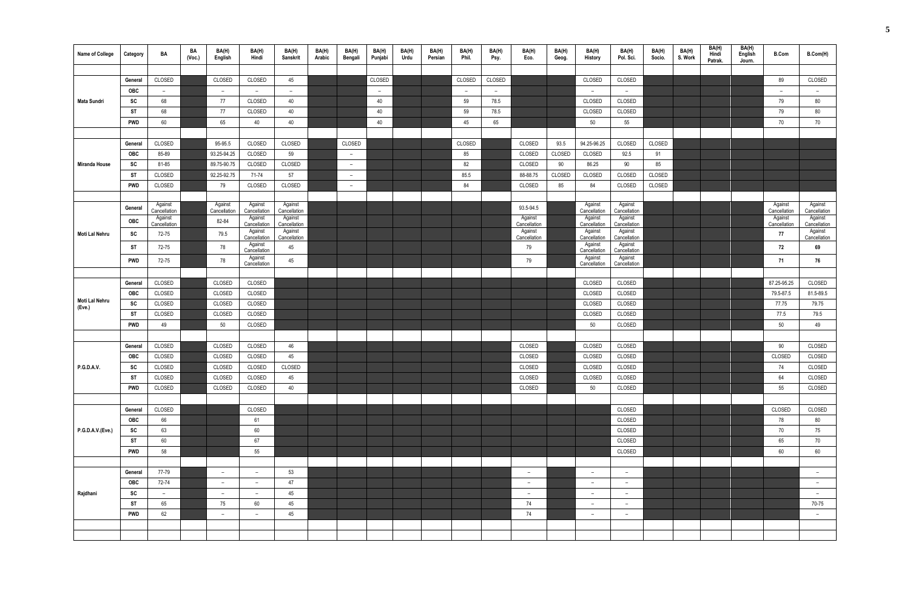| Name of College      | Category   | BA                      | BA<br>(Vec.) | BA(H)<br>English         | BA(H)<br>Hindi           | BA(H)<br>Sanskrit       | BA(H)<br>Arabic | BA(H)<br>Bengali | BA(H)<br>Punjabi | BA(H)<br>Urdu | BA(H)<br>Persian | BA(H)<br>Phil. | BA(H)<br>Psy. | BA(H)<br>Eco.            | BA(H)<br>Geog. | BA(H)<br>History         | BA(H)<br>Pol. Sci.       | BA(H)<br>Socio. | BA(H)<br>S. Work | BA(H)<br>Hindi<br>Patrak. | BA(H)<br>English<br>Journ. | <b>B.Com</b>             | B.Com(H)                 |
|----------------------|------------|-------------------------|--------------|--------------------------|--------------------------|-------------------------|-----------------|------------------|------------------|---------------|------------------|----------------|---------------|--------------------------|----------------|--------------------------|--------------------------|-----------------|------------------|---------------------------|----------------------------|--------------------------|--------------------------|
|                      |            |                         |              |                          |                          |                         |                 |                  |                  |               |                  |                |               |                          |                |                          |                          |                 |                  |                           |                            |                          |                          |
|                      | General    | CLOSED                  |              | CLOSED                   | CLOSED                   | 45                      |                 |                  | CLOSED           |               |                  | CLOSED         | CLOSED        |                          |                | CLOSED                   | CLOSED                   |                 |                  |                           |                            | 89                       | CLOSED                   |
|                      | OBC        | $ \,$                   |              | $\overline{\phantom{a}}$ | $ \,$                    | $ \,$                   |                 |                  | $ \,$            |               |                  | $ \,$          | $-$           |                          |                | $\overline{a}$           | $-$                      |                 |                  |                           |                            | $\overline{\phantom{a}}$ | $\overline{\phantom{a}}$ |
| Mata Sundri          | SC         | 68                      |              | 77                       | CLOSED                   | 40                      |                 |                  | 40               |               |                  | 59             | 78.5          |                          |                | CLOSED                   | CLOSED                   |                 |                  |                           |                            | 79                       | 80                       |
|                      | <b>ST</b>  | 68                      |              | 77                       | CLOSED                   | 40                      |                 |                  | 40               |               |                  | 59             | 78.5          |                          |                | CLOSED                   | CLOSED                   |                 |                  |                           |                            | 79                       | 80                       |
|                      | PWD        | 60                      |              | 65                       | 40                       | 40                      |                 |                  | 40               |               |                  | 45             | 65            |                          |                | 50                       | 55                       |                 |                  |                           |                            | 70                       | 70                       |
|                      |            |                         |              |                          |                          |                         |                 |                  |                  |               |                  |                |               |                          |                |                          |                          |                 |                  |                           |                            |                          |                          |
|                      | General    | CLOSED                  |              | 95-95.5                  | CLOSED                   | CLOSED                  |                 | CLOSED           |                  |               |                  | CLOSED         |               | CLOSED                   | 93.5           | 94.25-96.25              | CLOSED                   | CLOSED          |                  |                           |                            |                          |                          |
|                      | OBC        | 85-89                   |              | 93.25-94.25              | CLOSED                   | 59                      |                 | $ \,$            |                  |               |                  | 85             |               | CLOSED                   | CLOSED         | CLOSED                   | 92.5                     | 91              |                  |                           |                            |                          |                          |
| <b>Miranda House</b> | SC         | 81-85                   |              | 89.75-90.75              | CLOSED                   | CLOSED                  |                 | $-$              |                  |               |                  | 82             |               | CLOSED                   | 90             | 86.25                    | 90                       | 85              |                  |                           |                            |                          |                          |
|                      | <b>ST</b>  | CLOSED                  |              | 92.25-92.75              | 71-74                    | 57                      |                 | $ \,$            |                  |               |                  | 85.5           |               | 88-88.75                 | CLOSED         | CLOSED                   | CLOSED                   | CLOSED          |                  |                           |                            |                          |                          |
|                      | <b>PWD</b> | CLOSED                  |              | 79                       | CLOSED                   | CLOSED                  |                 | $ \,$            |                  |               |                  | 84             |               | CLOSED                   | 85             | 84                       | CLOSED                   | CLOSED          |                  |                           |                            |                          |                          |
|                      |            |                         |              |                          |                          |                         |                 |                  |                  |               |                  |                |               |                          |                |                          |                          |                 |                  |                           |                            |                          |                          |
|                      | General    | Against                 |              | Against                  | Against                  | Against                 |                 |                  |                  |               |                  |                |               | 93.5-94.5                |                | Against                  | Against                  |                 |                  |                           |                            | Against                  | Against                  |
|                      |            | Cancellation<br>Against |              | Cancellation             | Cancellation<br>Against  | Cancellation<br>Against |                 |                  |                  |               |                  |                |               | Against                  |                | Cancellation<br>Against  | Cancellation<br>Against  |                 |                  |                           |                            | Cancellation<br>Against  | Cancellation<br>Against  |
|                      | OBC        | Cancellation            |              | 82-84                    | Cancellation             | Cancellation            |                 |                  |                  |               |                  |                |               | Cancellation             |                | Cancellation             | Cancellation             |                 |                  |                           |                            | Cancellation             | Cancellation             |
| Moti Lal Nehru       | <b>SC</b>  | 72-75                   |              | 79.5                     | Against<br>Cancellation  | Against<br>Cancellation |                 |                  |                  |               |                  |                |               | Against<br>Cancellation  |                | Against<br>Cancellation  | Against<br>Cancellation  |                 |                  |                           |                            | 77                       | Against<br>Cancellation  |
|                      | <b>ST</b>  | 72-75                   |              | 78                       | Against<br>Cancellation  | 45                      |                 |                  |                  |               |                  |                |               | 79                       |                | Against<br>Cancellation  | Against<br>Cancellation  |                 |                  |                           |                            | 72                       | 69                       |
|                      | PWD        | 72-75                   |              | 78                       | Against                  | 45                      |                 |                  |                  |               |                  |                |               | 79                       |                | Against                  | Against                  |                 |                  |                           |                            | 71                       | 76                       |
|                      |            |                         |              |                          | Cancellation             |                         |                 |                  |                  |               |                  |                |               |                          |                | Cancellation             | Cancellation             |                 |                  |                           |                            |                          |                          |
|                      |            | CLOSED                  |              | CLOSED                   |                          |                         |                 |                  |                  |               |                  |                |               |                          |                |                          |                          |                 |                  |                           |                            | 87.25-95.25              | CLOSED                   |
|                      | General    |                         |              |                          | CLOSED                   |                         |                 |                  |                  |               |                  |                |               |                          |                | CLOSED                   | CLOSED                   |                 |                  |                           |                            |                          | 81.5-89.5                |
| Moti Lal Nehru       | OBC<br>SC  | CLOSED<br>CLOSED        |              | CLOSED<br>CLOSED         | CLOSED<br>CLOSED         |                         |                 |                  |                  |               |                  |                |               |                          |                | CLOSED<br>CLOSED         | CLOSED<br>CLOSED         |                 |                  |                           |                            | 79.5-87.5<br>77.75       | 79.75                    |
| (Eve.)               | ST         | CLOSED                  |              | CLOSED                   | CLOSED                   |                         |                 |                  |                  |               |                  |                |               |                          |                | CLOSED                   | CLOSED                   |                 |                  |                           |                            | 77.5                     | 79.5                     |
|                      |            |                         |              |                          |                          |                         |                 |                  |                  |               |                  |                |               |                          |                |                          |                          |                 |                  |                           |                            |                          | 49                       |
|                      | <b>PWD</b> | 49                      |              | 50                       | CLOSED                   |                         |                 |                  |                  |               |                  |                |               |                          |                | 50                       | CLOSED                   |                 |                  |                           |                            | 50                       |                          |
|                      |            |                         |              |                          |                          |                         |                 |                  |                  |               |                  |                |               |                          |                |                          |                          |                 |                  |                           |                            |                          |                          |
|                      | General    | CLOSED                  |              | CLOSED                   | CLOSED                   | 46                      |                 |                  |                  |               |                  |                |               | CLOSED                   |                | CLOSED                   | CLOSED                   |                 |                  |                           |                            | 90                       | CLOSED                   |
|                      | OBC        | CLOSED                  |              | CLOSED                   | CLOSED                   | 45                      |                 |                  |                  |               |                  |                |               | CLOSED                   |                | CLOSED                   | CLOSED                   |                 |                  |                           |                            | CLOSED                   | CLOSED                   |
| P.G.D.A.V.           | SC         | CLOSED                  |              | CLOSED                   | CLOSED                   | CLOSED                  |                 |                  |                  |               |                  |                |               | CLOSED                   |                | CLOSED                   | CLOSED                   |                 |                  |                           |                            | 74                       | CLOSED                   |
|                      | ST         | CLOSED                  |              | CLOSED                   | CLOSED                   | 45                      |                 |                  |                  |               |                  |                |               | CLOSED                   |                | CLOSED                   | CLOSED                   |                 |                  |                           |                            | 64                       | CLOSED                   |
|                      | <b>PWD</b> | CLOSED                  |              | CLOSED                   | CLOSED                   | $40\,$                  |                 |                  |                  |               |                  |                |               | CLOSED                   |                | 50                       | CLOSED                   |                 |                  |                           |                            | 55                       | CLOSED                   |
|                      |            |                         |              |                          |                          |                         |                 |                  |                  |               |                  |                |               |                          |                |                          |                          |                 |                  |                           |                            |                          |                          |
|                      | General    | CLOSED                  |              |                          | CLOSED                   |                         |                 |                  |                  |               |                  |                |               |                          |                |                          | CLOSED                   |                 |                  |                           |                            | CLOSED                   | CLOSED                   |
|                      | OBC        | 66                      |              |                          | 61                       |                         |                 |                  |                  |               |                  |                |               |                          |                |                          | CLOSED                   |                 |                  |                           |                            | 78                       | 80                       |
| P.G.D.A.V.(Eve.)     | SC         | 63                      |              |                          | 60                       |                         |                 |                  |                  |               |                  |                |               |                          |                |                          | CLOSED                   |                 |                  |                           |                            | 70                       | 75                       |
|                      | ST         | 60                      |              |                          | 67                       |                         |                 |                  |                  |               |                  |                |               |                          |                |                          | CLOSED                   |                 |                  |                           |                            | 65                       | 70                       |
|                      | <b>PWD</b> | 58                      |              |                          | 55                       |                         |                 |                  |                  |               |                  |                |               |                          |                |                          | CLOSED                   |                 |                  |                           |                            | $60\,$                   | 60                       |
|                      |            |                         |              |                          |                          |                         |                 |                  |                  |               |                  |                |               |                          |                |                          |                          |                 |                  |                           |                            |                          |                          |
|                      | General    | 77-79                   |              | $\overline{\phantom{m}}$ | $\qquad \qquad -$        | 53                      |                 |                  |                  |               |                  |                |               | $\overline{\phantom{m}}$ |                | $\overline{\phantom{a}}$ | $\overline{\phantom{m}}$ |                 |                  |                           |                            |                          | $ \,$                    |
|                      | OBC        | 72-74                   |              | $\overline{\phantom{m}}$ | $\overline{\phantom{0}}$ | 47                      |                 |                  |                  |               |                  |                |               | $\overline{\phantom{m}}$ |                | $\overline{\phantom{a}}$ | $-$                      |                 |                  |                           |                            |                          | $\overline{\phantom{a}}$ |
| Rajdhani             | SC         | $-$                     |              | $\overline{\phantom{m}}$ | $\qquad \qquad -$        | 45                      |                 |                  |                  |               |                  |                |               | $\overline{\phantom{a}}$ |                | $\overline{\phantom{m}}$ | $-$                      |                 |                  |                           |                            |                          | $-$                      |
|                      | <b>ST</b>  | 65                      |              | 75                       | 60                       | 45                      |                 |                  |                  |               |                  |                |               | 74                       |                | $\overline{\phantom{a}}$ | $-$                      |                 |                  |                           |                            |                          | 70-75                    |
|                      | <b>PWD</b> | 62                      |              | $\overline{\phantom{a}}$ | $\overline{\phantom{a}}$ | 45                      |                 |                  |                  |               |                  |                |               | 74                       |                | $\overline{\phantom{a}}$ | $-$                      |                 |                  |                           |                            |                          | $ \,$                    |
|                      |            |                         |              |                          |                          |                         |                 |                  |                  |               |                  |                |               |                          |                |                          |                          |                 |                  |                           |                            |                          |                          |
|                      |            |                         |              |                          |                          |                         |                 |                  |                  |               |                  |                |               |                          |                |                          |                          |                 |                  |                           |                            |                          |                          |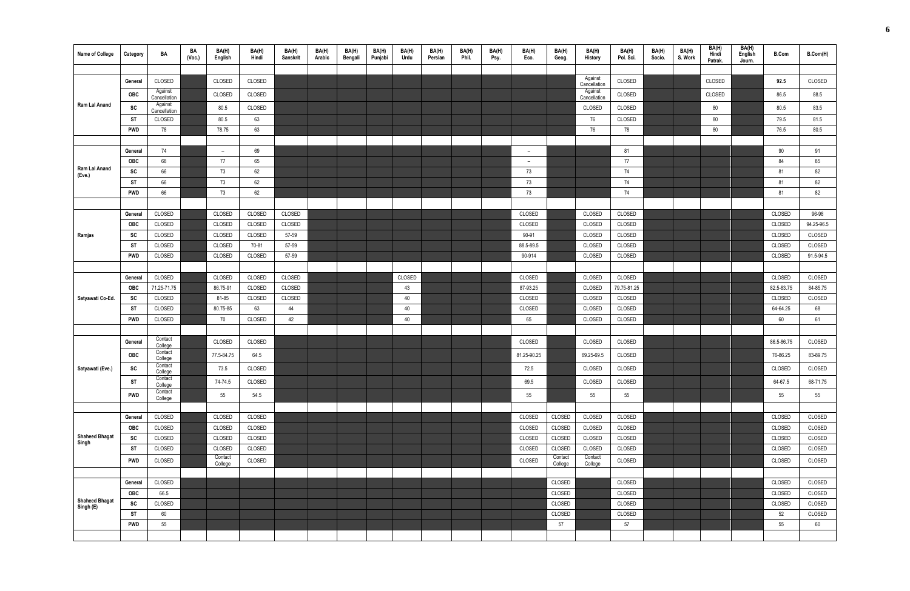|                                    |            |                         | BA     | BA(H)                    | BA(H)  | BA(H)    | BA(H)  | BA(H)   | BA(H)   | BA(H)  | BA(H)   | BA(H) | BA(H) | BA(H)                    | BA(H)              | BA(H)                   | BA(H)       | BA(H)  | BA(H)   | BA(H)            | BA(H)             |              |            |
|------------------------------------|------------|-------------------------|--------|--------------------------|--------|----------|--------|---------|---------|--------|---------|-------|-------|--------------------------|--------------------|-------------------------|-------------|--------|---------|------------------|-------------------|--------------|------------|
| <b>Name of College</b>             | Category   | BA                      | (Vec.) | English                  | Hindi  | Sanskrit | Arabic | Bengali | Punjabi | Urdu   | Persian | Phil. | Psy.  | Eco.                     | Geog.              | History                 | Pol. Sci.   | Socio. | S. Work | Hindi<br>Patrak. | English<br>Journ. | <b>B.Com</b> | B.Com(H)   |
|                                    |            |                         |        |                          |        |          |        |         |         |        |         |       |       |                          |                    |                         |             |        |         |                  |                   |              |            |
|                                    | General    | CLOSED                  |        | CLOSED                   | CLOSED |          |        |         |         |        |         |       |       |                          |                    | Against<br>Cancellation | CLOSED      |        |         | CLOSED           |                   | 92.5         | CLOSED     |
|                                    | OBC        | Against<br>Cancellation |        | CLOSED                   | CLOSED |          |        |         |         |        |         |       |       |                          |                    | Against<br>Cancellation | CLOSED      |        |         | CLOSED           |                   | 86.5         | 88.5       |
| Ram Lal Anand                      | SC         | Against<br>Cancellation |        | 80.5                     | CLOSED |          |        |         |         |        |         |       |       |                          |                    | CLOSED                  | CLOSED      |        |         | 80               |                   | 80.5         | 83.5       |
|                                    | ST         | CLOSED                  |        | 80.5                     | 63     |          |        |         |         |        |         |       |       |                          |                    | 76                      | CLOSED      |        |         | 80               |                   | 79.5         | 81.5       |
|                                    | <b>PWD</b> | 78                      |        | 78.75                    | 63     |          |        |         |         |        |         |       |       |                          |                    | 76                      | 78          |        |         | 80               |                   | 76.5         | 80.5       |
|                                    |            |                         |        |                          |        |          |        |         |         |        |         |       |       |                          |                    |                         |             |        |         |                  |                   |              |            |
|                                    | General    | 74                      |        | $\overline{\phantom{a}}$ | 69     |          |        |         |         |        |         |       |       | $\overline{\phantom{a}}$ |                    |                         | 81          |        |         |                  |                   | 90           | 91         |
|                                    | OBC        | 68                      |        | 77                       | 65     |          |        |         |         |        |         |       |       | $\overline{\phantom{a}}$ |                    |                         | 77          |        |         |                  |                   | 84           | 85         |
| Ram Lal Anand<br>(Eve.)            | <b>SC</b>  | 66                      |        | 73                       | 62     |          |        |         |         |        |         |       |       | 73                       |                    |                         | 74          |        |         |                  |                   | 81           | 82         |
|                                    | ST         | 66                      |        | 73                       | 62     |          |        |         |         |        |         |       |       | 73                       |                    |                         | 74          |        |         |                  |                   | 81           | 82         |
|                                    | <b>PWD</b> | 66                      |        | 73                       | 62     |          |        |         |         |        |         |       |       | 73                       |                    |                         | 74          |        |         |                  |                   | 81           | 82         |
|                                    |            |                         |        |                          |        |          |        |         |         |        |         |       |       |                          |                    |                         |             |        |         |                  |                   |              |            |
|                                    | General    | CLOSED                  |        | CLOSED                   | CLOSED | CLOSED   |        |         |         |        |         |       |       | CLOSED                   |                    | CLOSED                  | CLOSED      |        |         |                  |                   | CLOSED       | 96-98      |
|                                    | <b>OBC</b> | CLOSED                  |        | CLOSED                   | CLOSED | CLOSED   |        |         |         |        |         |       |       | CLOSED                   |                    | CLOSED                  | CLOSED      |        |         |                  |                   | CLOSED       | 94.25-96.5 |
| Ramjas                             | SC         | CLOSED                  |        | CLOSED                   | CLOSED | 57-59    |        |         |         |        |         |       |       | 90-91                    |                    | CLOSED                  | CLOSED      |        |         |                  |                   | CLOSED       | CLOSED     |
|                                    | ST         | CLOSED                  |        | CLOSED                   | 70-81  | 57-59    |        |         |         |        |         |       |       | 88.5-89.5                |                    | CLOSED                  | CLOSED      |        |         |                  |                   | CLOSED       | CLOSED     |
|                                    | <b>PWD</b> | CLOSED                  |        | CLOSED                   | CLOSED | 57-59    |        |         |         |        |         |       |       | 90-914                   |                    | CLOSED                  | CLOSED      |        |         |                  |                   | CLOSED       | 91.5-94.5  |
|                                    |            |                         |        |                          |        |          |        |         |         |        |         |       |       |                          |                    |                         |             |        |         |                  |                   |              |            |
|                                    | General    | CLOSED                  |        | CLOSED                   | CLOSED | CLOSED   |        |         |         | CLOSED |         |       |       | CLOSED                   |                    | CLOSED                  | CLOSED      |        |         |                  |                   | CLOSED       | CLOSED     |
|                                    | <b>OBC</b> | 71.25-71.75             |        | 86.75-91                 | CLOSED | CLOSED   |        |         |         | 43     |         |       |       | 87-93.25                 |                    | CLOSED                  | 79.75-81.25 |        |         |                  |                   | 82.5-83.75   | 84-85.75   |
| Satyawati Co-Ed.                   | SC         | CLOSED                  |        | 81-85                    | CLOSED | CLOSED   |        |         |         | 40     |         |       |       | CLOSED                   |                    | CLOSED                  | CLOSED      |        |         |                  |                   | CLOSED       | CLOSED     |
|                                    | ST         | CLOSED                  |        | 80.75-85                 | 63     | 44       |        |         |         | 40     |         |       |       | CLOSED                   |                    | CLOSED                  | CLOSED      |        |         |                  |                   | 64-64.25     | 68         |
|                                    | <b>PWD</b> | CLOSED                  |        | 70                       | CLOSED | 42       |        |         |         | 40     |         |       |       | 65                       |                    | CLOSED                  | CLOSED      |        |         |                  |                   | 60           | 61         |
|                                    |            |                         |        |                          |        |          |        |         |         |        |         |       |       |                          |                    |                         |             |        |         |                  |                   |              |            |
|                                    | General    | Contact<br>College      |        | CLOSED                   | CLOSED |          |        |         |         |        |         |       |       | CLOSED                   |                    | CLOSED                  | CLOSED      |        |         |                  |                   | 86.5-86.75   | CLOSED     |
|                                    | OBC        | Contact<br>College      |        | 77.5-84.75               | 64.5   |          |        |         |         |        |         |       |       | 81.25-90.25              |                    | 69.25-69.5              | CLOSED      |        |         |                  |                   | 76-86.25     | 83-89.75   |
| Satyawati (Eve.)                   | SC         | Contact<br>College      |        | 73.5                     | CLOSED |          |        |         |         |        |         |       |       | 72.5                     |                    | CLOSED                  | CLOSED      |        |         |                  |                   | CLOSED       | CLOSED     |
|                                    | ST         | Contact<br>College      |        | 74-74.5                  | CLOSED |          |        |         |         |        |         |       |       | 69.5                     |                    | CLOSED                  | CLOSED      |        |         |                  |                   | 64-67.5      | 68-71.75   |
|                                    | <b>PWD</b> | Contact<br>College      |        | 55                       | 54.5   |          |        |         |         |        |         |       |       | 55                       |                    | 55                      | 55          |        |         |                  |                   | 55           | 55         |
|                                    |            |                         |        |                          |        |          |        |         |         |        |         |       |       |                          |                    |                         |             |        |         |                  |                   |              |            |
|                                    | General    | CLOSED                  |        | CLOSED                   | CLOSED |          |        |         |         |        |         |       |       | CLOSED                   | CLOSED             | CLOSED                  | CLOSED      |        |         |                  |                   | CLOSED       | CLOSED     |
|                                    | <b>OBC</b> | CLOSED                  |        | CLOSED                   | CLOSED |          |        |         |         |        |         |       |       | CLOSED                   | CLOSED             | CLOSED                  | CLOSED      |        |         |                  |                   | CLOSED       | CLOSED     |
| <b>Shaheed Bhagat</b><br>Singh     | SC         | CLOSED                  |        | CLOSED                   | CLOSED |          |        |         |         |        |         |       |       | CLOSED                   | CLOSED             | CLOSED                  | CLOSED      |        |         |                  |                   | CLOSED       | CLOSED     |
|                                    | <b>ST</b>  | CLOSED                  |        | CLOSED                   | CLOSED |          |        |         |         |        |         |       |       | CLOSED                   | CLOSED             | CLOSED                  | CLOSED      |        |         |                  |                   | CLOSED       | CLOSED     |
|                                    | <b>PWD</b> | CLOSED                  |        | Contact<br>College       | CLOSED |          |        |         |         |        |         |       |       | CLOSED                   | Contact<br>College | Contact<br>College      | CLOSED      |        |         |                  |                   | CLOSED       | CLOSED     |
|                                    |            |                         |        |                          |        |          |        |         |         |        |         |       |       |                          |                    |                         |             |        |         |                  |                   |              |            |
|                                    | General    | CLOSED                  |        |                          |        |          |        |         |         |        |         |       |       |                          | CLOSED             |                         | CLOSED      |        |         |                  |                   | CLOSED       | CLOSED     |
|                                    | OBC        | 66.5                    |        |                          |        |          |        |         |         |        |         |       |       |                          | CLOSED             |                         | CLOSED      |        |         |                  |                   | CLOSED       | CLOSED     |
| <b>Shaheed Bhagat</b><br>Singh (E) | SC         | CLOSED                  |        |                          |        |          |        |         |         |        |         |       |       |                          | CLOSED             |                         | CLOSED      |        |         |                  |                   | CLOSED       | CLOSED     |
|                                    | ST         | 60                      |        |                          |        |          |        |         |         |        |         |       |       |                          | CLOSED             |                         | CLOSED      |        |         |                  |                   | 52           | CLOSED     |
|                                    | <b>PWD</b> | 55                      |        |                          |        |          |        |         |         |        |         |       |       |                          | 57                 |                         | 57          |        |         |                  |                   | 55           | 60         |
|                                    |            |                         |        |                          |        |          |        |         |         |        |         |       |       |                          |                    |                         |             |        |         |                  |                   |              |            |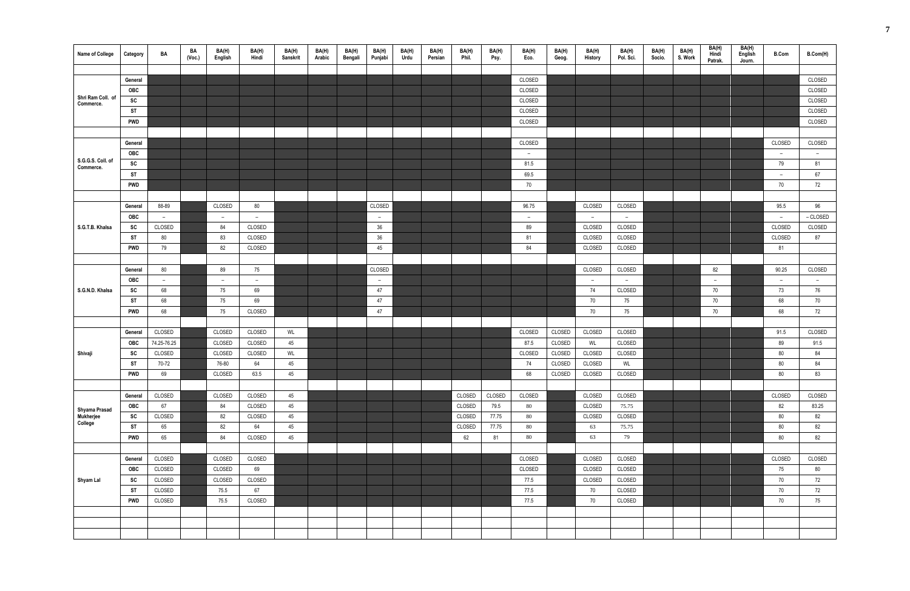| <b>Name of College</b>                | Category   | BA          | BA<br>(Vec.) | BA(H)<br>English         | BA(H)<br>Hindi | BA(H)<br>Sanskrit | BA(H)<br>Arabic | BA(H)<br>Bengali | BA(H)<br>Punjabi | BA(H)<br>Urdu | BA(H)<br>Persian | BA(H)<br>Phil. | BA(H)<br>Psy. | BA(H)<br>Eco.            | BA(H)<br>Geog. | BA(H)<br>History | BA(H)<br>Pol. Sci. | BA(H)<br>Socio. | BA(H)<br>S. Work | BA(H)<br>Hindi<br>Patrak. | BA(H)<br>English<br>Journ. | <b>B.Com</b> | B.Com(H)                 |
|---------------------------------------|------------|-------------|--------------|--------------------------|----------------|-------------------|-----------------|------------------|------------------|---------------|------------------|----------------|---------------|--------------------------|----------------|------------------|--------------------|-----------------|------------------|---------------------------|----------------------------|--------------|--------------------------|
|                                       |            |             |              |                          |                |                   |                 |                  |                  |               |                  |                |               |                          |                |                  |                    |                 |                  |                           |                            |              |                          |
|                                       | General    |             |              |                          |                |                   |                 |                  |                  |               |                  |                |               | CLOSED                   |                |                  |                    |                 |                  |                           |                            |              | CLOSED                   |
|                                       | OBC        |             |              |                          |                |                   |                 |                  |                  |               |                  |                |               | CLOSED                   |                |                  |                    |                 |                  |                           |                            |              | CLOSED                   |
| Shri Ram Coll. of<br>Commerce.        | SC         |             |              |                          |                |                   |                 |                  |                  |               |                  |                |               | CLOSED                   |                |                  |                    |                 |                  |                           |                            |              | CLOSED                   |
|                                       | <b>ST</b>  |             |              |                          |                |                   |                 |                  |                  |               |                  |                |               | CLOSED                   |                |                  |                    |                 |                  |                           |                            |              | CLOSED                   |
|                                       | <b>PWD</b> |             |              |                          |                |                   |                 |                  |                  |               |                  |                |               | CLOSED                   |                |                  |                    |                 |                  |                           |                            |              | CLOSED                   |
|                                       |            |             |              |                          |                |                   |                 |                  |                  |               |                  |                |               |                          |                |                  |                    |                 |                  |                           |                            |              |                          |
|                                       | General    |             |              |                          |                |                   |                 |                  |                  |               |                  |                |               | CLOSED                   |                |                  |                    |                 |                  |                           |                            | CLOSED       | CLOSED                   |
|                                       | <b>OBC</b> |             |              |                          |                |                   |                 |                  |                  |               |                  |                |               | $\overline{a}$           |                |                  |                    |                 |                  |                           |                            | $ \,$        | $\overline{\phantom{a}}$ |
| S.G.G.S. Coll. of<br>Commerce.        | SC         |             |              |                          |                |                   |                 |                  |                  |               |                  |                |               | 81.5                     |                |                  |                    |                 |                  |                           |                            | 79           | 81                       |
|                                       | <b>ST</b>  |             |              |                          |                |                   |                 |                  |                  |               |                  |                |               | 69.5                     |                |                  |                    |                 |                  |                           |                            | $ \,$        | 67                       |
|                                       | <b>PWD</b> |             |              |                          |                |                   |                 |                  |                  |               |                  |                |               | 70                       |                |                  |                    |                 |                  |                           |                            | 70           | 72                       |
|                                       |            |             |              |                          |                |                   |                 |                  |                  |               |                  |                |               |                          |                |                  |                    |                 |                  |                           |                            |              |                          |
|                                       | General    | 88-89       |              | CLOSED                   | 80             |                   |                 |                  | CLOSED           |               |                  |                |               | 96.75                    |                | CLOSED           | CLOSED             |                 |                  |                           |                            | 95.5         | 96                       |
|                                       | OBC        | $ \,$       |              | $\overline{a}$           | $ \,$          |                   |                 |                  | $ \,$            |               |                  |                |               | $\overline{\phantom{m}}$ |                | $\overline{a}$   | $\sim$             |                 |                  |                           |                            | $ \,$        | – CLOSED                 |
| S.G.T.B. Khalsa                       | SC         | CLOSED      |              | 84                       | CLOSED         |                   |                 |                  | $36\,$           |               |                  |                |               | 89                       |                | CLOSED           | CLOSED             |                 |                  |                           |                            | CLOSED       | CLOSED                   |
|                                       | ST         | 80          |              | 83                       | CLOSED         |                   |                 |                  | $36\,$           |               |                  |                |               | 81                       |                | CLOSED           | CLOSED             |                 |                  |                           |                            | CLOSED       | 87                       |
|                                       | <b>PWD</b> | 79          |              | 82                       | CLOSED         |                   |                 |                  | 45               |               |                  |                |               | 84                       |                | CLOSED           | CLOSED             |                 |                  |                           |                            | 81           |                          |
|                                       |            |             |              |                          |                |                   |                 |                  |                  |               |                  |                |               |                          |                |                  |                    |                 |                  |                           |                            |              |                          |
|                                       | General    | 80          |              | 89                       | 75             |                   |                 |                  | CLOSED           |               |                  |                |               |                          |                | CLOSED           | CLOSED             |                 |                  | 82                        |                            | 90.25        | CLOSED                   |
|                                       | OBC        | $-$         |              | $\overline{\phantom{a}}$ | $ \,$          |                   |                 |                  | $-$              |               |                  |                |               |                          |                | $\sim$           | $ \,$              |                 |                  | $ \,$                     |                            | $ \,$        | $\overline{\phantom{a}}$ |
| S.G.N.D. Khalsa                       | SC         | 68          |              | 75                       | 69             |                   |                 |                  | 47               |               |                  |                |               |                          |                | 74               | CLOSED             |                 |                  | 70                        |                            | 73           | 76                       |
|                                       | ST         | 68          |              | 75                       | 69             |                   |                 |                  | 47               |               |                  |                |               |                          |                | 70               | 75                 |                 |                  | 70                        |                            | 68           | 70                       |
|                                       | <b>PWD</b> | 68          |              | 75                       | CLOSED         |                   |                 |                  | 47               |               |                  |                |               |                          |                | 70               | 75                 |                 |                  | 70                        |                            | 68           | 72                       |
|                                       |            |             |              |                          |                |                   |                 |                  |                  |               |                  |                |               |                          |                |                  |                    |                 |                  |                           |                            |              |                          |
|                                       | General    | CLOSED      |              | CLOSED                   | CLOSED         | WL                |                 |                  |                  |               |                  |                |               | CLOSED                   | CLOSED         | CLOSED           | CLOSED             |                 |                  |                           |                            | 91.5         | CLOSED                   |
|                                       | <b>OBC</b> | 74.25-76.25 |              | CLOSED                   | CLOSED         | 45                |                 |                  |                  |               |                  |                |               | 87.5                     | CLOSED         | WL               | CLOSED             |                 |                  |                           |                            | 89           | 91.5                     |
| Shivaji                               | SC         | CLOSED      |              | CLOSED                   | CLOSED         | WL                |                 |                  |                  |               |                  |                |               | CLOSED                   | CLOSED         | CLOSED           | CLOSED             |                 |                  |                           |                            | 80           | 84                       |
|                                       | ST         | 70-72       |              | 76-80                    | 64             | 45                |                 |                  |                  |               |                  |                |               | 74                       | CLOSED         | CLOSED           | WL                 |                 |                  |                           |                            | 80           | 84                       |
|                                       | <b>PWD</b> | 69          |              | CLOSED                   | 63.5           | 45                |                 |                  |                  |               |                  |                |               | 68                       | CLOSED         | CLOSED           | CLOSED             |                 |                  |                           |                            | 80           | 83                       |
|                                       |            |             |              |                          |                |                   |                 |                  |                  |               |                  |                |               |                          |                |                  |                    |                 |                  |                           |                            |              |                          |
|                                       | General    | CLOSED      |              | CLOSED                   | CLOSED         | 45                |                 |                  |                  |               |                  | CLOSED         | CLOSED        | CLOSED                   |                | CLOSED           | CLOSED             |                 |                  |                           |                            | CLOSED       | CLOSED                   |
|                                       | <b>OBC</b> | 67          |              | 84                       | CLOSED         | 45                |                 |                  |                  |               |                  | CLOSED         | 79.5          | 80                       |                | CLOSED           | 75.75              |                 |                  |                           |                            | 82           | 83.25                    |
| Shyama Prasad<br>Mukherjee<br>College | SC         | CLOSED      |              | 82                       | CLOSED         | 45                |                 |                  |                  |               |                  | CLOSED         | 77.75         | 80                       |                | CLOSED           | CLOSED             |                 |                  |                           |                            | $80\,$       | 82                       |
|                                       | <b>ST</b>  | 65          |              | 82                       | 64             | 45                |                 |                  |                  |               |                  | CLOSED         | 77.75         | 80                       |                | 63               | 75.75              |                 |                  |                           |                            | 80           | 82                       |
|                                       | <b>PWD</b> | 65          |              | 84                       | CLOSED         | 45                |                 |                  |                  |               |                  | 62             | 81            | 80                       |                | 63               | 79                 |                 |                  |                           |                            | 80           | 82                       |
|                                       |            |             |              |                          |                |                   |                 |                  |                  |               |                  |                |               |                          |                |                  |                    |                 |                  |                           |                            |              |                          |
|                                       | General    | CLOSED      |              | CLOSED                   | CLOSED         |                   |                 |                  |                  |               |                  |                |               | CLOSED                   |                | CLOSED           | CLOSED             |                 |                  |                           |                            | CLOSED       | CLOSED                   |
|                                       | <b>OBC</b> | CLOSED      |              | CLOSED                   | 69             |                   |                 |                  |                  |               |                  |                |               | CLOSED                   |                | CLOSED           | CLOSED             |                 |                  |                           |                            | 75           | 80                       |
| Shyam Lal                             | SC         | CLOSED      |              | CLOSED                   | CLOSED         |                   |                 |                  |                  |               |                  |                |               | 77.5                     |                | CLOSED           | CLOSED             |                 |                  |                           |                            | 70           | 72                       |
|                                       | <b>ST</b>  | CLOSED      |              | 75.5                     | 67             |                   |                 |                  |                  |               |                  |                |               | 77.5                     |                | 70               | CLOSED             |                 |                  |                           |                            | 70           | 72                       |
|                                       | <b>PWD</b> | CLOSED      |              | 75.5                     | CLOSED         |                   |                 |                  |                  |               |                  |                |               | 77.5                     |                | 70               | CLOSED             |                 |                  |                           |                            | 70           | 75                       |
|                                       |            |             |              |                          |                |                   |                 |                  |                  |               |                  |                |               |                          |                |                  |                    |                 |                  |                           |                            |              |                          |
|                                       |            |             |              |                          |                |                   |                 |                  |                  |               |                  |                |               |                          |                |                  |                    |                 |                  |                           |                            |              |                          |
|                                       |            |             |              |                          |                |                   |                 |                  |                  |               |                  |                |               |                          |                |                  |                    |                 |                  |                           |                            |              |                          |